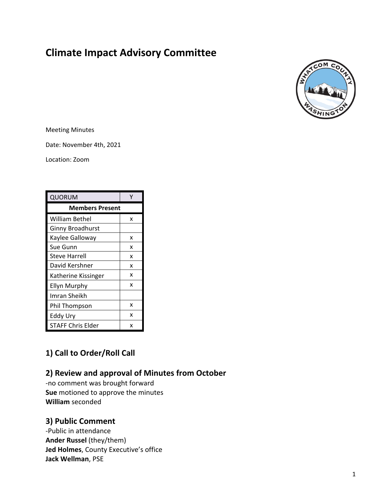# **Climate Impact Advisory Committee**



Meeting Minutes

Date: November 4th, 2021

Location: Zoom

| QUORUM                   |   |
|--------------------------|---|
| <b>Members Present</b>   |   |
| William Bethel           | x |
| <b>Ginny Broadhurst</b>  |   |
| Kaylee Galloway          | x |
| Sue Gunn                 | x |
| Steve Harrell            | x |
| David Kershner           | x |
| Katherine Kissinger      | x |
| Ellyn Murphy             | x |
| Imran Sheikh             |   |
| Phil Thompson            | x |
| Eddy Ury                 | x |
| <b>STAFF Chris Elder</b> | x |

# **1) Call to Order/Roll Call**

## **2) Review and approval of Minutes from October**

-no comment was brought forward **Sue** motioned to approve the minutes **William** seconded

## **3) Public Comment**

-Public in attendance **Ander Russel** (they/them) **Jed Holmes**, County Executive's office **Jack Wellman**, PSE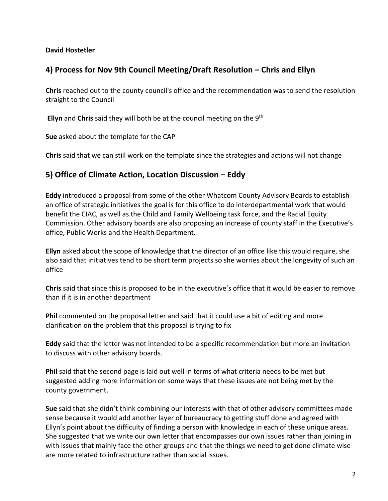#### **David Hostetler**

### **4) Process for Nov 9th Council Meeting/Draft Resolution – Chris and Ellyn**

**Chris** reached out to the county council's office and the recommendation was to send the resolution straight to the Council

**Ellyn** and **Chris** said they will both be at the council meeting on the 9th

**Sue** asked about the template for the CAP

**Chris** said that we can still work on the template since the strategies and actions will not change

#### **5) Office of Climate Action, Location Discussion – Eddy**

**Eddy** introduced a proposal from some of the other Whatcom County Advisory Boards to establish an office of strategic initiatives the goal is for this office to do interdepartmental work that would benefit the CIAC, as well as the Child and Family Wellbeing task force, and the Racial Equity Commission. Other advisory boards are also proposing an increase of county staff in the Executive's office, Public Works and the Health Department.

**Ellyn** asked about the scope of knowledge that the director of an office like this would require, she also said that initiatives tend to be short term projects so she worries about the longevity of such an office

**Chris** said that since this is proposed to be in the executive's office that it would be easier to remove than if it is in another department

**Phil** commented on the proposal letter and said that it could use a bit of editing and more clarification on the problem that this proposal is trying to fix

**Eddy** said that the letter was not intended to be a specific recommendation but more an invitation to discuss with other advisory boards.

**Phil** said that the second page is laid out well in terms of what criteria needs to be met but suggested adding more information on some ways that these issues are not being met by the county government.

**Sue** said that she didn't think combining our interests with that of other advisory committees made sense because it would add another layer of bureaucracy to getting stuff done and agreed with Ellyn's point about the difficulty of finding a person with knowledge in each of these unique areas. She suggested that we write our own letter that encompasses our own issues rather than joining in with issues that mainly face the other groups and that the things we need to get done climate wise are more related to infrastructure rather than social issues.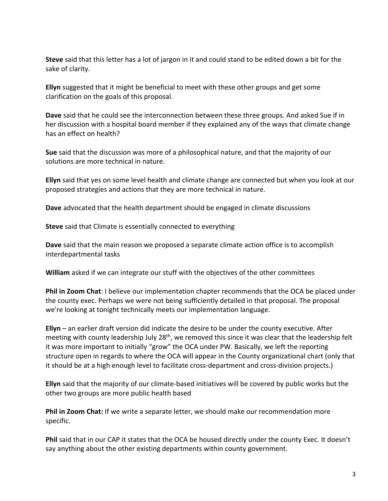**Steve** said that this letter has a lot of jargon in it and could stand to be edited down a bit for the sake of clarity.

**Ellyn** suggested that it might be beneficial to meet with these other groups and get some clarification on the goals of this proposal.

**Dave** said that he could see the interconnection between these three groups. And asked Sue if in her discussion with a hospital board member if they explained any of the ways that climate change has an effect on health?

**Sue** said that the discussion was more of a philosophical nature, and that the majority of our solutions are more technical in nature.

**Ellyn** said that yes on some level health and climate change are connected but when you look at our proposed strategies and actions that they are more technical in nature.

**Dave** advocated that the health department should be engaged in climate discussions

**Steve** said that Climate is essentially connected to everything

**Dave** said that the main reason we proposed a separate climate action office is to accomplish interdepartmental tasks

**William** asked if we can integrate our stuff with the objectives of the other committees

**Phil in Zoom Chat**: I believe our implementation chapter recommends that the OCA be placed under the county exec. Perhaps we were not being sufficiently detailed in that proposal. The proposal we're looking at tonight technically meets our implementation language.

**Ellyn** – an earlier draft version did indicate the desire to be under the county executive. After meeting with county leadership July 28<sup>th</sup>, we removed this since it was clear that the leadership felt it was more important to initially "grow" the OCA under PW. Basically, we left the reporting structure open in regards to where the OCA will appear in the County organizational chart (only that it should be at a high enough level to facilitate cross-department and cross-division projects.)

**Ellyn** said that the majority of our climate-based initiatives will be covered by public works but the other two groups are more public health based

**Phil in Zoom Chat:** If we write a separate letter, we should make our recommendation more specific.

**Phil** said that in our CAP it states that the OCA be housed directly under the county Exec. It doesn't say anything about the other existing departments within county government.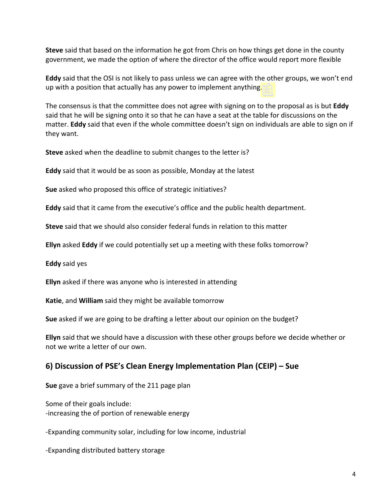**Steve** said that based on the information he got from Chris on how things get done in the county government, we made the option of where the director of the office would report more flexible

**Eddy** said that the OSI is not likely to pass unless we can agree with the other groups, we won't end up with a position that actually has any power to implement anything.

The consensus is that the committee does not agree with signing on to the proposal as is but **Eddy** said that he will be signing onto it so that he can have a seat at the table for discussions on the matter. **Eddy** said that even if the whole committee doesn't sign on individuals are able to sign on if they want.

**Steve** asked when the deadline to submit changes to the letter is?

**Eddy** said that it would be as soon as possible, Monday at the latest

**Sue** asked who proposed this office of strategic initiatives?

**Eddy** said that it came from the executive's office and the public health department.

**Steve** said that we should also consider federal funds in relation to this matter

**Ellyn** asked **Eddy** if we could potentially set up a meeting with these folks tomorrow?

**Eddy** said yes

**Ellyn** asked if there was anyone who is interested in attending

**Katie**, and **William** said they might be available tomorrow

**Sue** asked if we are going to be drafting a letter about our opinion on the budget?

**Ellyn** said that we should have a discussion with these other groups before we decide whether or not we write a letter of our own.

## **6) Discussion of PSE's Clean Energy Implementation Plan (CEIP) – Sue**

**Sue** gave a brief summary of the 211 page plan

Some of their goals include: -increasing the of portion of renewable energy

-Expanding community solar, including for low income, industrial

-Expanding distributed battery storage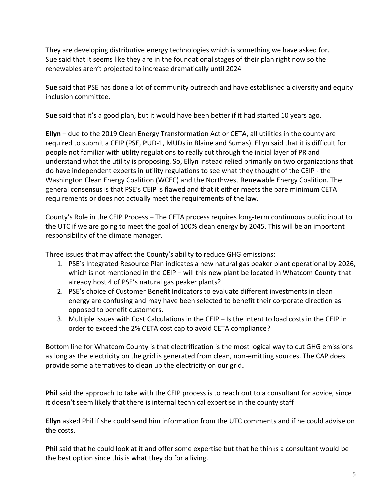They are developing distributive energy technologies which is something we have asked for. Sue said that it seems like they are in the foundational stages of their plan right now so the renewables aren't projected to increase dramatically until 2024

**Sue** said that PSE has done a lot of community outreach and have established a diversity and equity inclusion committee.

**Sue** said that it's a good plan, but it would have been better if it had started 10 years ago.

**Ellyn** – due to the 2019 Clean Energy Transformation Act or CETA, all utilities in the county are required to submit a CEIP (PSE, PUD-1, MUDs in Blaine and Sumas). Ellyn said that it is difficult for people not familiar with utility regulations to really cut through the initial layer of PR and understand what the utility is proposing. So, Ellyn instead relied primarily on two organizations that do have independent experts in utility regulations to see what they thought of the CEIP - the Washington Clean Energy Coalition (WCEC) and the Northwest Renewable Energy Coalition. The general consensus is that PSE's CEIP is flawed and that it either meets the bare minimum CETA requirements or does not actually meet the requirements of the law.

County's Role in the CEIP Process – The CETA process requires long-term continuous public input to the UTC if we are going to meet the goal of 100% clean energy by 2045. This will be an important responsibility of the climate manager.

Three issues that may affect the County's ability to reduce GHG emissions:

- 1. PSE's Integrated Resource Plan indicates a new natural gas peaker plant operational by 2026, which is not mentioned in the CEIP – will this new plant be located in Whatcom County that already host 4 of PSE's natural gas peaker plants?
- 2. PSE's choice of Customer Benefit Indicators to evaluate different investments in clean energy are confusing and may have been selected to benefit their corporate direction as opposed to benefit customers.
- 3. Multiple issues with Cost Calculations in the CEIP Is the intent to load costs in the CEIP in order to exceed the 2% CETA cost cap to avoid CETA compliance?

Bottom line for Whatcom County is that electrification is the most logical way to cut GHG emissions as long as the electricity on the grid is generated from clean, non-emitting sources. The CAP does provide some alternatives to clean up the electricity on our grid.

**Phil** said the approach to take with the CEIP process is to reach out to a consultant for advice, since it doesn't seem likely that there is internal technical expertise in the county staff

**Ellyn** asked Phil if she could send him information from the UTC comments and if he could advise on the costs.

**Phil** said that he could look at it and offer some expertise but that he thinks a consultant would be the best option since this is what they do for a living.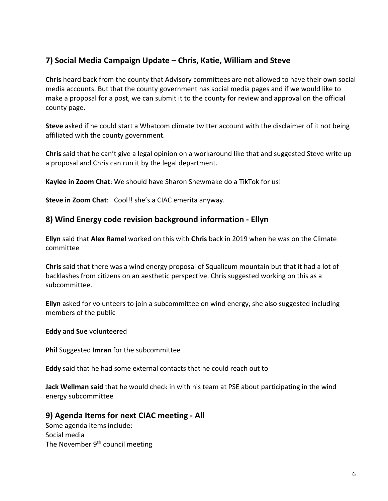## **7) Social Media Campaign Update – Chris, Katie, William and Steve**

**Chris** heard back from the county that Advisory committees are not allowed to have their own social media accounts. But that the county government has social media pages and if we would like to make a proposal for a post, we can submit it to the county for review and approval on the official county page.

**Steve** asked if he could start a Whatcom climate twitter account with the disclaimer of it not being affiliated with the county government.

**Chris** said that he can't give a legal opinion on a workaround like that and suggested Steve write up a proposal and Chris can run it by the legal department.

**Kaylee in Zoom Chat**: We should have Sharon Shewmake do a TikTok for us!

**Steve in Zoom Chat**: Cool!! she's a CIAC emerita anyway.

#### **8) Wind Energy code revision background information - Ellyn**

**Ellyn** said that **Alex Ramel** worked on this with **Chris** back in 2019 when he was on the Climate committee

**Chris** said that there was a wind energy proposal of Squalicum mountain but that it had a lot of backlashes from citizens on an aesthetic perspective. Chris suggested working on this as a subcommittee.

**Ellyn** asked for volunteers to join a subcommittee on wind energy, she also suggested including members of the public

**Eddy** and **Sue** volunteered

**Phil** Suggested **Imran** for the subcommittee

**Eddy** said that he had some external contacts that he could reach out to

**Jack Wellman said** that he would check in with his team at PSE about participating in the wind energy subcommittee

#### **9) Agenda Items for next CIAC meeting - All**

Some agenda items include: Social media The November  $9<sup>th</sup>$  council meeting